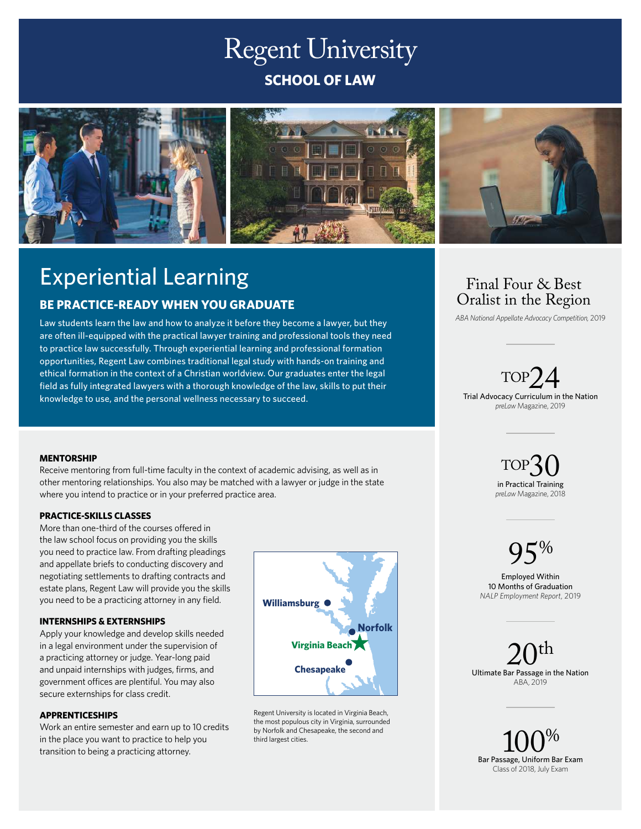# Regent University **SCHOOL OF LAW**



# Experiential Learning

# **BE PRACTICE-READY WHEN YOU GRADUATE**

Law students learn the law and how to analyze it before they become a lawyer, but they are often ill-equipped with the practical lawyer training and professional tools they need to practice law successfully. Through experiential learning and professional formation opportunities, Regent Law combines traditional legal study with hands-on training and ethical formation in the context of a Christian worldview. Our graduates enter the legal field as fully integrated lawyers with a thorough knowledge of the law, skills to put their knowledge to use, and the personal wellness necessary to succeed.

# Final Four & Best Oralist in the Region

*ABA National Appellate Advocacy Competition,* 2019

 $\text{TOP24}$ <br>Trial Advocacy Curriculum in the Nation *preLaw* Magazine, 2019

# **MENTORSHIP**

Receive mentoring from full-time faculty in the context of academic advising, as well as in other mentoring relationships. You also may be matched with a lawyer or judge in the state where you intend to practice or in your preferred practice area.

## **PRACTICE-SKILLS CLASSES**

More than one-third of the courses offered in the law school focus on providing you the skills you need to practice law. From drafting pleadings and appellate briefs to conducting discovery and negotiating settlements to drafting contracts and estate plans, Regent Law will provide you the skills you need to be a practicing attorney in any field.

## **INTERNSHIPS & EXTERNSHIPS**

Apply your knowledge and develop skills needed in a legal environment under the supervision of a practicing attorney or judge. Year-long paid and unpaid internships with judges, firms, and government offices are plentiful. You may also secure externships for class credit.

## **APPRENTICESHIPS**

Work an entire semester and earn up to 10 credits in the place you want to practice to help you transition to being a practicing attorney.



Regent University is located in Virginia Beach, the most populous city in Virginia, surrounded by Norfolk and Chesapeake, the second and third largest cities.



# $95%$

Employed Within 10 Months of Graduation *NALP Employment Report*, 2019

 $20^{\rm th}$ Ultimate Bar Passage in the Nation ABA, 2019

 $\log_{\rm{Bar}}$  Passage, Uniform Bar Exam Class of 2018, July Exam